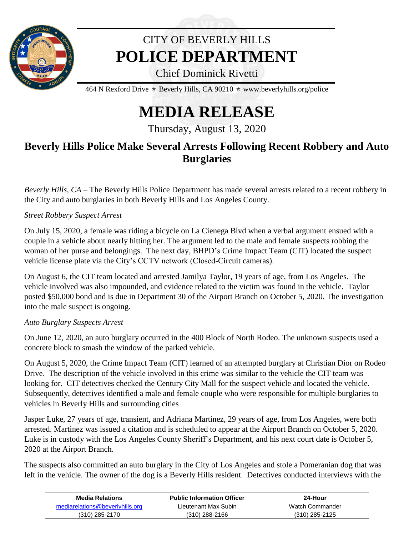

## CITY OF BEVERLY HILLS **POLICE DEPARTMENT**

Chief Dominick Rivetti

464 N Rexford Drive  $\star$  Beverly Hills, CA 90210  $\star$  www.beverlyhills.org/police

# **MEDIA RELEASE**

Thursday, August 13, 2020

## **Beverly Hills Police Make Several Arrests Following Recent Robbery and Auto Burglaries**

*Beverly Hills, CA* – The Beverly Hills Police Department has made several arrests related to a recent robbery in the City and auto burglaries in both Beverly Hills and Los Angeles County.

### *Street Robbery Suspect Arrest*

On July 15, 2020, a female was riding a bicycle on La Cienega Blvd when a verbal argument ensued with a couple in a vehicle about nearly hitting her. The argument led to the male and female suspects robbing the woman of her purse and belongings. The next day, BHPD's Crime Impact Team (CIT) located the suspect vehicle license plate via the City's CCTV network (Closed-Circuit cameras).

On August 6, the CIT team located and arrested Jamilya Taylor, 19 years of age, from Los Angeles. The vehicle involved was also impounded, and evidence related to the victim was found in the vehicle. Taylor posted \$50,000 bond and is due in Department 30 of the Airport Branch on October 5, 2020. The investigation into the male suspect is ongoing.

#### *Auto Burglary Suspects Arrest*

Î.

On June 12, 2020, an auto burglary occurred in the 400 Block of North Rodeo. The unknown suspects used a concrete block to smash the window of the parked vehicle.

On August 5, 2020, the Crime Impact Team (CIT) learned of an attempted burglary at Christian Dior on Rodeo Drive. The description of the vehicle involved in this crime was similar to the vehicle the CIT team was looking for. CIT detectives checked the Century City Mall for the suspect vehicle and located the vehicle. Subsequently, detectives identified a male and female couple who were responsible for multiple burglaries to vehicles in Beverly Hills and surrounding cities

Jasper Luke, 27 years of age, transient, and Adriana Martinez, 29 years of age, from Los Angeles, were both arrested. Martinez was issued a citation and is scheduled to appear at the Airport Branch on October 5, 2020. Luke is in custody with the Los Angeles County Sheriff's Department, and his next court date is October 5, 2020 at the Airport Branch.

The suspects also committed an auto burglary in the City of Los Angeles and stole a Pomeranian dog that was left in the vehicle. The owner of the dog is a Beverly Hills resident. Detectives conducted interviews with the

| <b>Media Relations</b>          | <b>Public Information Officer</b> | 24-Hour         |  |
|---------------------------------|-----------------------------------|-----------------|--|
| mediarelations@beverlyhills.org | Lieutenant Max Subin              | Watch Commander |  |
| (310) 285-2170                  | $(310)$ 288-2166                  | (310) 285-2125  |  |